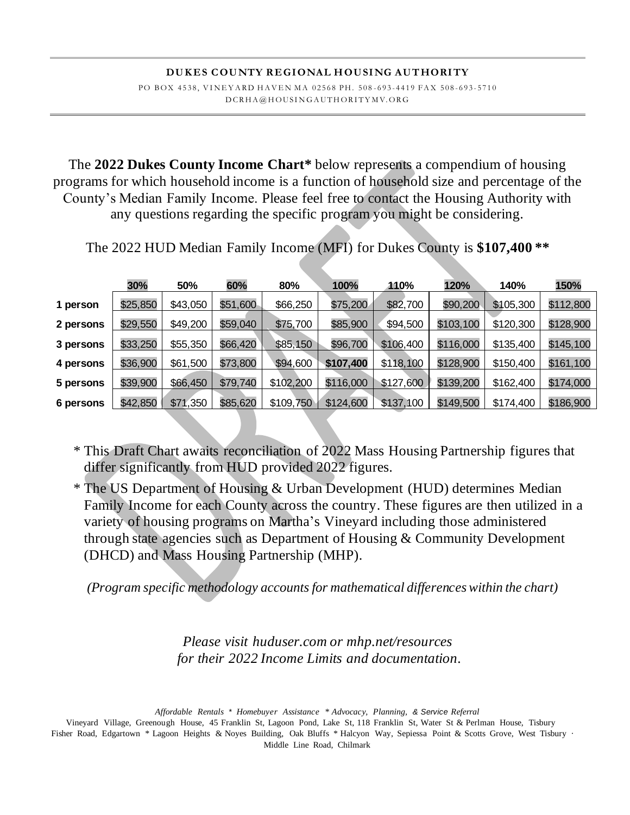The **2022 Dukes County Income Chart\*** below represents a compendium of housing programs for which household income is a function of household size and percentage of the County's Median Family Income. Please feel free to contact the Housing Authority with any questions regarding the specific program you might be considering.

The 2022 HUD Median Family Income (MFI) for Dukes County is **\$107,400 \*\***

|                                                  | 30%                              | 50%                              | 60%                              | 80%                                            | 100%                                | 110%                                | 120%                                | 140%                                | 150%                   |
|--------------------------------------------------|----------------------------------|----------------------------------|----------------------------------|------------------------------------------------|-------------------------------------|-------------------------------------|-------------------------------------|-------------------------------------|------------------------|
| 1 person                                         | \$25,850                         | \$43,050                         | \$51,600                         | \$66,250                                       | \$75,200                            | \$82,700                            | \$90,200                            | \$105,300                           | \$112,800              |
| 2 persons                                        | \$29,550                         | \$49,200                         | \$59,040                         | \$75,700                                       | \$85,900                            | \$94,500                            | \$103,100                           | \$120,300                           | \$128,900              |
|                                                  | \$33,250                         | \$55,350                         | \$66,420                         |                                                | \$96,700                            | \$106,400                           | \$116,000                           | \$135,400                           | \$145,100              |
|                                                  |                                  |                                  |                                  |                                                |                                     |                                     |                                     |                                     | \$161,100              |
|                                                  |                                  |                                  |                                  |                                                |                                     |                                     |                                     |                                     |                        |
|                                                  |                                  |                                  |                                  |                                                |                                     |                                     |                                     |                                     |                        |
| 3 persons<br>4 persons<br>5 persons<br>6 persons | \$36,900<br>\$39,900<br>\$42,850 | \$61,500<br>\$66,450<br>\$71,350 | \$73,800<br>\$79,740<br>\$85,620 | \$85,150<br>\$94,600<br>\$102,200<br>\$109,750 | \$107,400<br>\$116,000<br>\$124,600 | \$118,100<br>\$127,600<br>\$137,100 | \$128,900<br>\$139,200<br>\$149,500 | \$150,400<br>\$162,400<br>\$174,400 | \$174,000<br>\$186,900 |

\* This Draft Chart awaits reconciliation of 2022 Mass Housing Partnership figures that differ significantly from HUD provided 2022 figures.

\* The US Department of Housing & Urban Development (HUD) determines Median Family Income for each County across the country. These figures are then utilized in a variety of housing programs on Martha's Vineyard including those administered through state agencies such as Department of Housing & Community Development (DHCD) and Mass Housing Partnership (MHP).

*(Program specific methodology accounts for mathematical differenceswithin the chart)*

*Please visit huduser.com or mhp.net/resources for their 2022 Income Limits and documentation.*

 *Affordable Rentals \* Homebuyer Assistance \* Advocacy, Planning, & Service Referral*

Vineyard Village, Greenough House, 45 Franklin St, Lagoon Pond, Lake St, 118 Franklin St, Water St & Perlman House, Tisbury Fisher Road, Edgartown \* Lagoon Heights & Noyes Building, Oak Bluffs \* Halcyon Way, Sepiessa Point & Scotts Grove, West Tisbury · Middle Line Road, Chilmark